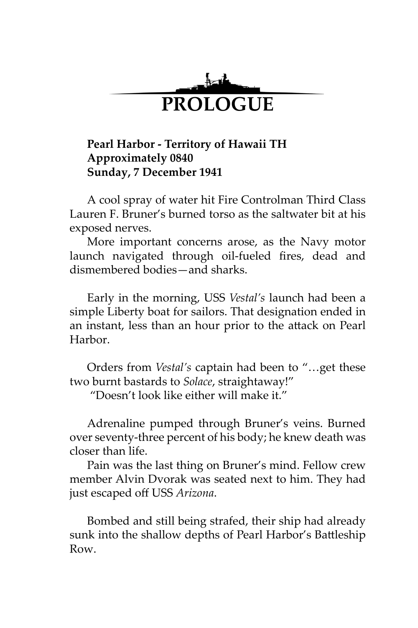

## **Pearl Harbor - Territory of Hawaii TH Approximately 0840 Sunday, 7 December 1941**

A cool spray of water hit Fire Controlman Third Class Lauren F. Bruner's burned torso as the saltwater bit at his exposed nerves.

More important concerns arose, as the Navy motor launch navigated through oil-fueled fires, dead and dismembered bodies—and sharks.

Early in the morning, USS *Vestal's* launch had been a simple Liberty boat for sailors. That designation ended in an instant, less than an hour prior to the attack on Pearl Harbor.

Orders from *Vestal's* captain had been to "…get these two burnt bastards to *Solace*, straightaway!"

"Doesn't look like either will make it."

Adrenaline pumped through Bruner's veins. Burned over seventy-three percent of his body; he knew death was closer than life.

Pain was the last thing on Bruner's mind. Fellow crew member Alvin Dvorak was seated next to him. They had just escaped off USS *Arizona*.

Bombed and still being strafed, their ship had already sunk into the shallow depths of Pearl Harbor's Battleship Row.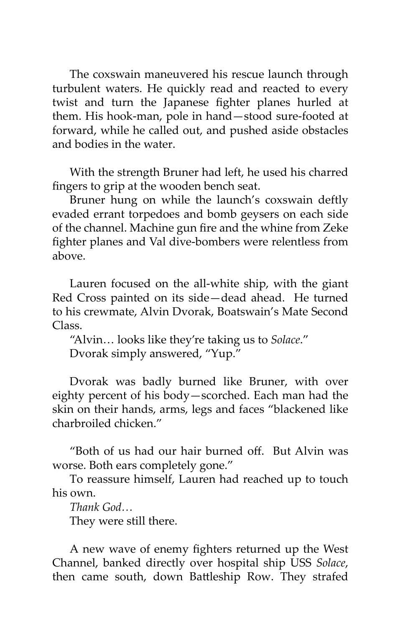The coxswain maneuvered his rescue launch through turbulent waters. He quickly read and reacted to every twist and turn the Japanese fighter planes hurled at them. His hook-man, pole in hand—stood sure-footed at forward, while he called out, and pushed aside obstacles and bodies in the water.

With the strength Bruner had left, he used his charred fingers to grip at the wooden bench seat.

Bruner hung on while the launch's coxswain deftly evaded errant torpedoes and bomb geysers on each side of the channel. Machine gun fire and the whine from Zeke fighter planes and Val dive-bombers were relentless from above.

Lauren focused on the all-white ship, with the giant Red Cross painted on its side—dead ahead. He turned to his crewmate, Alvin Dvorak, Boatswain's Mate Second Class.

"Alvin… looks like they're taking us to *Solace*." Dvorak simply answered, "Yup."

Dvorak was badly burned like Bruner, with over eighty percent of his body—scorched. Each man had the skin on their hands, arms, legs and faces "blackened like charbroiled chicken."

"Both of us had our hair burned off. But Alvin was worse. Both ears completely gone."

To reassure himself, Lauren had reached up to touch his own.

*Thank God…* They were still there.

A new wave of enemy fighters returned up the West Channel, banked directly over hospital ship USS *Solace*, then came south, down Battleship Row. They strafed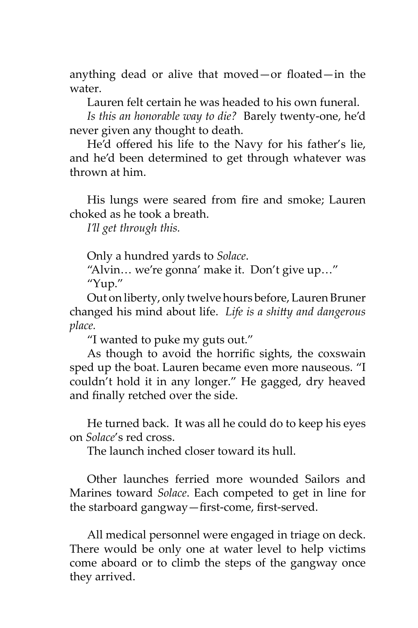anything dead or alive that moved—or floated—in the water.

Lauren felt certain he was headed to his own funeral.

*Is this an honorable way to die?* Barely twenty-one, he'd never given any thought to death.

He'd offered his life to the Navy for his father's lie, and he'd been determined to get through whatever was thrown at him.

His lungs were seared from fire and smoke; Lauren choked as he took a breath.

*I'll get through this.*

Only a hundred yards to *Solace*.

"Alvin… we're gonna' make it. Don't give up…" "Yup."

Out on liberty, only twelve hours before, Lauren Bruner changed his mind about life. *Life is a shitty and dangerous place.*

"I wanted to puke my guts out."

As though to avoid the horrific sights, the coxswain sped up the boat. Lauren became even more nauseous. "I couldn't hold it in any longer." He gagged, dry heaved and finally retched over the side.

He turned back. It was all he could do to keep his eyes on *Solace*'s red cross.

The launch inched closer toward its hull.

Other launches ferried more wounded Sailors and Marines toward *Solace*. Each competed to get in line for the starboard gangway—first-come, first-served.

All medical personnel were engaged in triage on deck. There would be only one at water level to help victims come aboard or to climb the steps of the gangway once they arrived.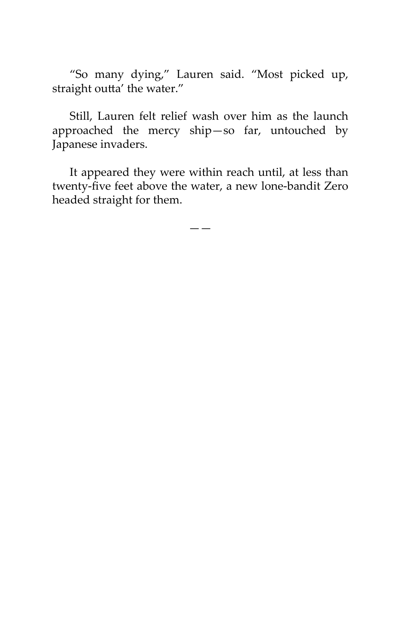"So many dying," Lauren said. "Most picked up, straight outta' the water."

Still, Lauren felt relief wash over him as the launch approached the mercy ship—so far, untouched by Japanese invaders.

It appeared they were within reach until, at less than twenty-five feet above the water, a new lone-bandit Zero headed straight for them.

——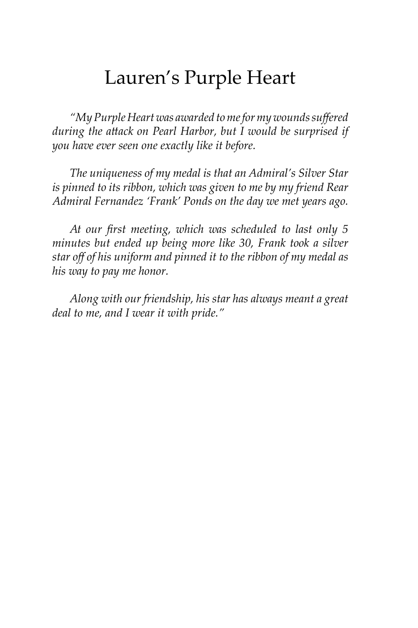## Lauren's Purple Heart

*"My Purple Heart was awarded to me for my wounds suffered during the attack on Pearl Harbor, but I would be surprised if you have ever seen one exactly like it before.*

*The uniqueness of my medal is that an Admiral's Silver Star is pinned to its ribbon, which was given to me by my friend Rear Admiral Fernandez 'Frank' Ponds on the day we met years ago.*

*At our first meeting, which was scheduled to last only 5 minutes but ended up being more like 30, Frank took a silver star off of his uniform and pinned it to the ribbon of my medal as his way to pay me honor.*

*Along with our friendship, his star has always meant a great deal to me, and I wear it with pride."*